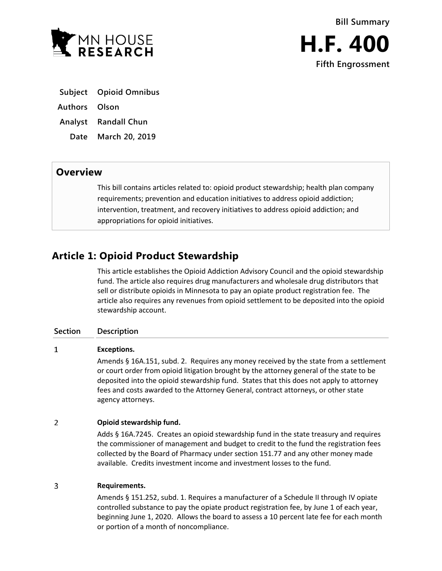

- **Subject Opioid Omnibus**
- **Authors Olson**
- **Analyst Randall Chun**
	- **Date March 20, 2019**

## **Overview**

This bill contains articles related to: opioid product stewardship; health plan company requirements; prevention and education initiatives to address opioid addiction; intervention, treatment, and recovery initiatives to address opioid addiction; and appropriations for opioid initiatives.

# **Article 1: Opioid Product Stewardship**

This article establishes the Opioid Addiction Advisory Council and the opioid stewardship fund. The article also requires drug manufacturers and wholesale drug distributors that sell or distribute opioids in Minnesota to pay an opiate product registration fee. The article also requires any revenues from opioid settlement to be deposited into the opioid stewardship account.

## **Section Description**

#### $\mathbf{1}$ **Exceptions.**

Amends § 16A.151, subd. 2. Requires any money received by the state from a settlement or court order from opioid litigation brought by the attorney general of the state to be deposited into the opioid stewardship fund. States that this does not apply to attorney fees and costs awarded to the Attorney General, contract attorneys, or other state agency attorneys.

#### $\overline{2}$ **Opioid stewardship fund.**

Adds § 16A.7245. Creates an opioid stewardship fund in the state treasury and requires the commissioner of management and budget to credit to the fund the registration fees collected by the Board of Pharmacy under section 151.77 and any other money made available. Credits investment income and investment losses to the fund.

#### $\overline{3}$ **Requirements.**

Amends § 151.252, subd. 1. Requires a manufacturer of a Schedule II through IV opiate controlled substance to pay the opiate product registration fee, by June 1 of each year, beginning June 1, 2020. Allows the board to assess a 10 percent late fee for each month or portion of a month of noncompliance.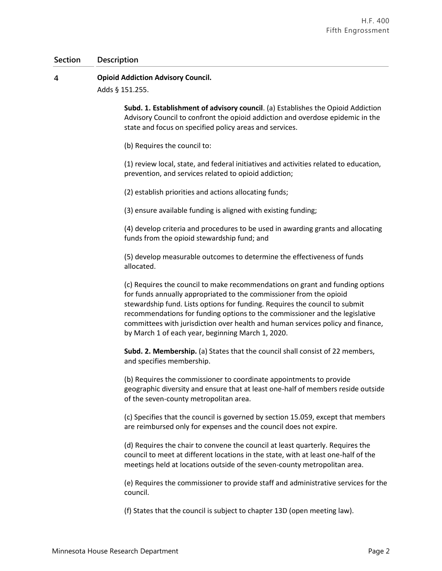#### $\overline{4}$ **Opioid Addiction Advisory Council.**

Adds § 151.255.

**Subd. 1. Establishment of advisory council**. (a) Establishes the Opioid Addiction Advisory Council to confront the opioid addiction and overdose epidemic in the state and focus on specified policy areas and services.

(b) Requires the council to:

(1) review local, state, and federal initiatives and activities related to education, prevention, and services related to opioid addiction;

(2) establish priorities and actions allocating funds;

(3) ensure available funding is aligned with existing funding;

(4) develop criteria and procedures to be used in awarding grants and allocating funds from the opioid stewardship fund; and

(5) develop measurable outcomes to determine the effectiveness of funds allocated.

(c) Requires the council to make recommendations on grant and funding options for funds annually appropriated to the commissioner from the opioid stewardship fund. Lists options for funding. Requires the council to submit recommendations for funding options to the commissioner and the legislative committees with jurisdiction over health and human services policy and finance, by March 1 of each year, beginning March 1, 2020.

**Subd. 2. Membership.** (a) States that the council shall consist of 22 members, and specifies membership.

(b) Requires the commissioner to coordinate appointments to provide geographic diversity and ensure that at least one-half of members reside outside of the seven-county metropolitan area.

(c) Specifies that the council is governed by section 15.059, except that members are reimbursed only for expenses and the council does not expire.

(d) Requires the chair to convene the council at least quarterly. Requires the council to meet at different locations in the state, with at least one-half of the meetings held at locations outside of the seven-county metropolitan area.

(e) Requires the commissioner to provide staff and administrative services for the council.

(f) States that the council is subject to chapter 13D (open meeting law).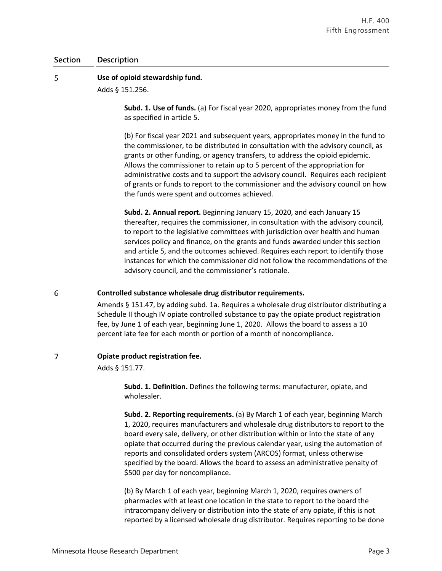#### 5 **Use of opioid stewardship fund.**

Adds § 151.256.

**Subd. 1. Use of funds.** (a) For fiscal year 2020, appropriates money from the fund as specified in article 5.

(b) For fiscal year 2021 and subsequent years, appropriates money in the fund to the commissioner, to be distributed in consultation with the advisory council, as grants or other funding, or agency transfers, to address the opioid epidemic. Allows the commissioner to retain up to 5 percent of the appropriation for administrative costs and to support the advisory council. Requires each recipient of grants or funds to report to the commissioner and the advisory council on how the funds were spent and outcomes achieved.

**Subd. 2. Annual report.** Beginning January 15, 2020, and each January 15 thereafter, requires the commissioner, in consultation with the advisory council, to report to the legislative committees with jurisdiction over health and human services policy and finance, on the grants and funds awarded under this section and article 5, and the outcomes achieved. Requires each report to identify those instances for which the commissioner did not follow the recommendations of the advisory council, and the commissioner's rationale.

#### 6 **Controlled substance wholesale drug distributor requirements.**

Amends § 151.47, by adding subd. 1a. Requires a wholesale drug distributor distributing a Schedule II though IV opiate controlled substance to pay the opiate product registration fee, by June 1 of each year, beginning June 1, 2020. Allows the board to assess a 10 percent late fee for each month or portion of a month of noncompliance.

#### $\overline{7}$ **Opiate product registration fee.**

Adds § 151.77.

**Subd. 1. Definition.** Defines the following terms: manufacturer, opiate, and wholesaler.

**Subd. 2. Reporting requirements.** (a) By March 1 of each year, beginning March 1, 2020, requires manufacturers and wholesale drug distributors to report to the board every sale, delivery, or other distribution within or into the state of any opiate that occurred during the previous calendar year, using the automation of reports and consolidated orders system (ARCOS) format, unless otherwise specified by the board. Allows the board to assess an administrative penalty of \$500 per day for noncompliance.

(b) By March 1 of each year, beginning March 1, 2020, requires owners of pharmacies with at least one location in the state to report to the board the intracompany delivery or distribution into the state of any opiate, if this is not reported by a licensed wholesale drug distributor. Requires reporting to be done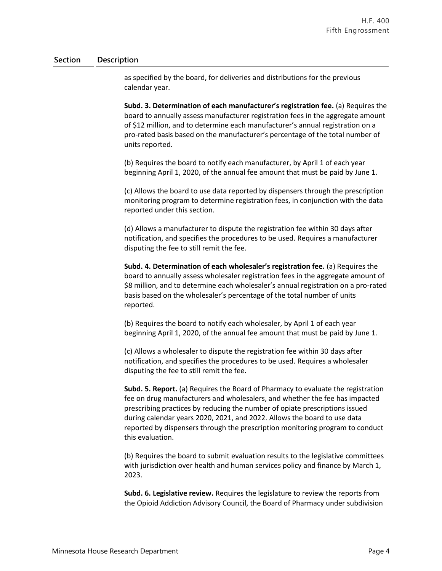as specified by the board, for deliveries and distributions for the previous calendar year.

**Subd. 3. Determination of each manufacturer's registration fee.** (a) Requires the board to annually assess manufacturer registration fees in the aggregate amount of \$12 million, and to determine each manufacturer's annual registration on a pro-rated basis based on the manufacturer's percentage of the total number of units reported.

(b) Requires the board to notify each manufacturer, by April 1 of each year beginning April 1, 2020, of the annual fee amount that must be paid by June 1.

(c) Allows the board to use data reported by dispensers through the prescription monitoring program to determine registration fees, in conjunction with the data reported under this section.

(d) Allows a manufacturer to dispute the registration fee within 30 days after notification, and specifies the procedures to be used. Requires a manufacturer disputing the fee to still remit the fee.

**Subd. 4. Determination of each wholesaler's registration fee.** (a) Requires the board to annually assess wholesaler registration fees in the aggregate amount of \$8 million, and to determine each wholesaler's annual registration on a pro-rated basis based on the wholesaler's percentage of the total number of units reported.

(b) Requires the board to notify each wholesaler, by April 1 of each year beginning April 1, 2020, of the annual fee amount that must be paid by June 1.

(c) Allows a wholesaler to dispute the registration fee within 30 days after notification, and specifies the procedures to be used. Requires a wholesaler disputing the fee to still remit the fee.

**Subd. 5. Report.** (a) Requires the Board of Pharmacy to evaluate the registration fee on drug manufacturers and wholesalers, and whether the fee has impacted prescribing practices by reducing the number of opiate prescriptions issued during calendar years 2020, 2021, and 2022. Allows the board to use data reported by dispensers through the prescription monitoring program to conduct this evaluation.

(b) Requires the board to submit evaluation results to the legislative committees with jurisdiction over health and human services policy and finance by March 1, 2023.

**Subd. 6. Legislative review.** Requires the legislature to review the reports from the Opioid Addiction Advisory Council, the Board of Pharmacy under subdivision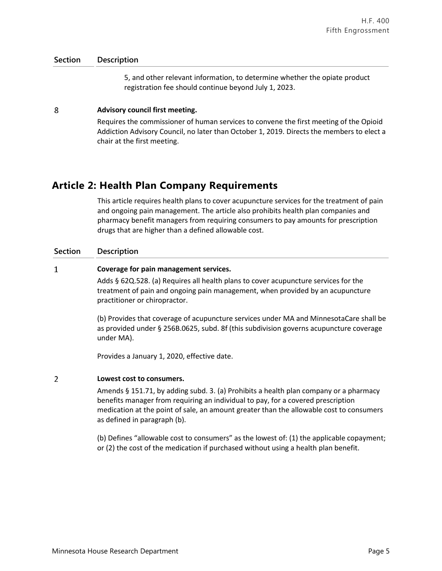5, and other relevant information, to determine whether the opiate product registration fee should continue beyond July 1, 2023.

#### 8 **Advisory council first meeting.**

Requires the commissioner of human services to convene the first meeting of the Opioid Addiction Advisory Council, no later than October 1, 2019. Directs the members to elect a chair at the first meeting.

## **Article 2: Health Plan Company Requirements**

This article requires health plans to cover acupuncture services for the treatment of pain and ongoing pain management. The article also prohibits health plan companies and pharmacy benefit managers from requiring consumers to pay amounts for prescription drugs that are higher than a defined allowable cost.

## **Section Description**

 $\mathbf{1}$ 

## **Coverage for pain management services.**

Adds § 62Q.528. (a) Requires all health plans to cover acupuncture services for the treatment of pain and ongoing pain management, when provided by an acupuncture practitioner or chiropractor.

(b) Provides that coverage of acupuncture services under MA and MinnesotaCare shall be as provided under § 256B.0625, subd. 8f (this subdivision governs acupuncture coverage under MA).

Provides a January 1, 2020, effective date.

#### $\overline{2}$ **Lowest cost to consumers.**

Amends § 151.71, by adding subd. 3. (a) Prohibits a health plan company or a pharmacy benefits manager from requiring an individual to pay, for a covered prescription medication at the point of sale, an amount greater than the allowable cost to consumers as defined in paragraph (b).

(b) Defines "allowable cost to consumers" as the lowest of: (1) the applicable copayment; or (2) the cost of the medication if purchased without using a health plan benefit.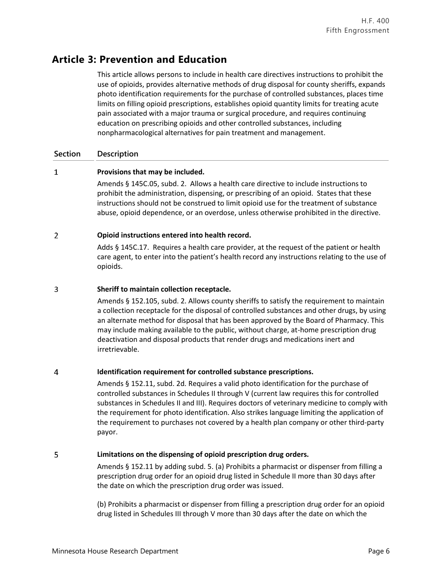# **Article 3: Prevention and Education**

This article allows persons to include in health care directives instructions to prohibit the use of opioids, provides alternative methods of drug disposal for county sheriffs, expands photo identification requirements for the purchase of controlled substances, places time limits on filling opioid prescriptions, establishes opioid quantity limits for treating acute pain associated with a major trauma or surgical procedure, and requires continuing education on prescribing opioids and other controlled substances, including nonpharmacological alternatives for pain treatment and management.

## **Section Description**

#### $\mathbf{1}$ **Provisions that may be included.**

Amends § 145C.05, subd. 2. Allows a health care directive to include instructions to prohibit the administration, dispensing, or prescribing of an opioid. States that these instructions should not be construed to limit opioid use for the treatment of substance abuse, opioid dependence, or an overdose, unless otherwise prohibited in the directive.

#### $\overline{2}$ **Opioid instructions entered into health record.**

Adds § 145C.17. Requires a health care provider, at the request of the patient or health care agent, to enter into the patient's health record any instructions relating to the use of opioids.

#### 3 **Sheriff to maintain collection receptacle.**

Amends § 152.105, subd. 2. Allows county sheriffs to satisfy the requirement to maintain a collection receptacle for the disposal of controlled substances and other drugs, by using an alternate method for disposal that has been approved by the Board of Pharmacy. This may include making available to the public, without charge, at-home prescription drug deactivation and disposal products that render drugs and medications inert and irretrievable.

#### $\overline{4}$ **Identification requirement for controlled substance prescriptions.**

Amends § 152.11, subd. 2d. Requires a valid photo identification for the purchase of controlled substances in Schedules II through V (current law requires this for controlled substances in Schedules II and III). Requires doctors of veterinary medicine to comply with the requirement for photo identification. Also strikes language limiting the application of the requirement to purchases not covered by a health plan company or other third-party payor.

#### 5 **Limitations on the dispensing of opioid prescription drug orders.**

Amends § 152.11 by adding subd. 5. (a) Prohibits a pharmacist or dispenser from filling a prescription drug order for an opioid drug listed in Schedule II more than 30 days after the date on which the prescription drug order was issued.

(b) Prohibits a pharmacist or dispenser from filling a prescription drug order for an opioid drug listed in Schedules III through V more than 30 days after the date on which the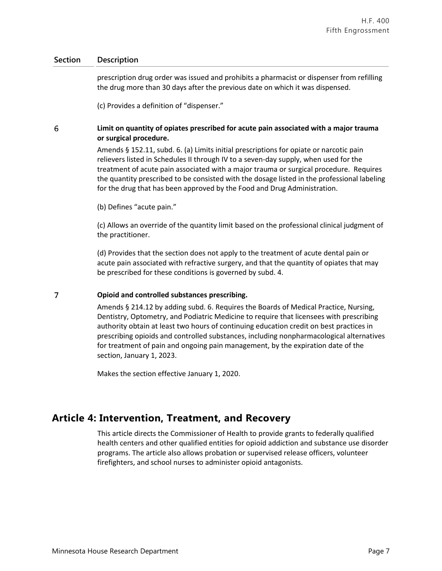prescription drug order was issued and prohibits a pharmacist or dispenser from refilling the drug more than 30 days after the previous date on which it was dispensed.

(c) Provides a definition of "dispenser."

#### 6 **Limit on quantity of opiates prescribed for acute pain associated with a major trauma or surgical procedure.**

Amends § 152.11, subd. 6. (a) Limits initial prescriptions for opiate or narcotic pain relievers listed in Schedules II through IV to a seven-day supply, when used for the treatment of acute pain associated with a major trauma or surgical procedure. Requires the quantity prescribed to be consisted with the dosage listed in the professional labeling for the drug that has been approved by the Food and Drug Administration.

(b) Defines "acute pain."

(c) Allows an override of the quantity limit based on the professional clinical judgment of the practitioner.

(d) Provides that the section does not apply to the treatment of acute dental pain or acute pain associated with refractive surgery, and that the quantity of opiates that may be prescribed for these conditions is governed by subd. 4.

#### $\overline{7}$ **Opioid and controlled substances prescribing.**

Amends § 214.12 by adding subd. 6. Requires the Boards of Medical Practice, Nursing, Dentistry, Optometry, and Podiatric Medicine to require that licensees with prescribing authority obtain at least two hours of continuing education credit on best practices in prescribing opioids and controlled substances, including nonpharmacological alternatives for treatment of pain and ongoing pain management, by the expiration date of the section, January 1, 2023.

Makes the section effective January 1, 2020.

## **Article 4: Intervention, Treatment, and Recovery**

This article directs the Commissioner of Health to provide grants to federally qualified health centers and other qualified entities for opioid addiction and substance use disorder programs. The article also allows probation or supervised release officers, volunteer firefighters, and school nurses to administer opioid antagonists.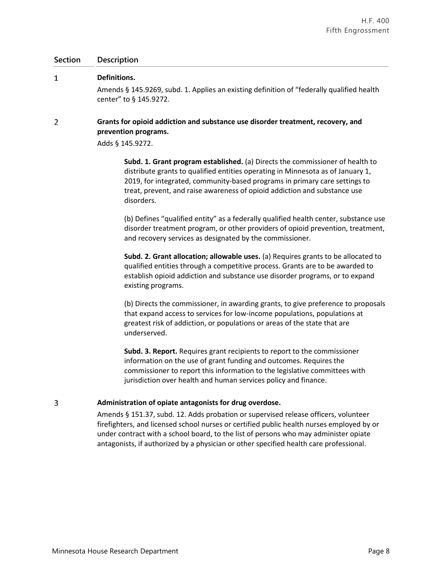| <b>Section</b> | Description                                                                                                                                                                                                                                                                                                                               |
|----------------|-------------------------------------------------------------------------------------------------------------------------------------------------------------------------------------------------------------------------------------------------------------------------------------------------------------------------------------------|
| 1              | Definitions.<br>Amends § 145.9269, subd. 1. Applies an existing definition of "federally qualified health<br>center" to § 145.9272.                                                                                                                                                                                                       |
| $\overline{2}$ | Grants for opioid addiction and substance use disorder treatment, recovery, and<br>prevention programs.<br>Adds § 145.9272.                                                                                                                                                                                                               |
|                | Subd. 1. Grant program established. (a) Directs the commissioner of health to<br>distribute grants to qualified entities operating in Minnesota as of January 1,<br>2019, for integrated, community-based programs in primary care settings to<br>treat, prevent, and raise awareness of opioid addiction and substance use<br>disorders. |
|                | (b) Defines "qualified entity" as a federally qualified health center, substance use<br>disorder treatment program, or other providers of opioid prevention, treatment,<br>and recovery services as designated by the commissioner.                                                                                                       |
|                | Subd. 2. Grant allocation; allowable uses. (a) Requires grants to be allocated to<br>qualified entities through a competitive process. Grants are to be awarded to<br>establish opioid addiction and substance use disorder programs, or to expand<br>existing programs.                                                                  |
|                | (b) Directs the commissioner, in awarding grants, to give preference to proposals<br>that expand access to services for low-income populations, populations at<br>greatest risk of addiction, or populations or areas of the state that are<br>underserved.                                                                               |
|                | Subd. 3. Report. Requires grant recipients to report to the commissioner<br>information on the use of grant funding and outcomes. Requires the<br>commissioner to report this information to the legislative committees with<br>jurisdiction over health and human services policy and finance.                                           |

#### $\overline{3}$ **Administration of opiate antagonists for drug overdose.**

Amends § 151.37, subd. 12. Adds probation or supervised release officers, volunteer firefighters, and licensed school nurses or certified public health nurses employed by or under contract with a school board, to the list of persons who may administer opiate antagonists, if authorized by a physician or other specified health care professional.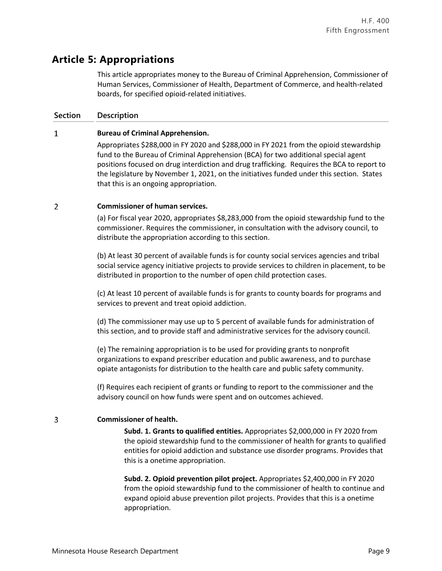# **Article 5: Appropriations**

This article appropriates money to the Bureau of Criminal Apprehension, Commissioner of Human Services, Commissioner of Health, Department of Commerce, and health-related boards, for specified opioid-related initiatives.

## **Section Description**

#### $\mathbf{1}$ **Bureau of Criminal Apprehension.**

Appropriates \$288,000 in FY 2020 and \$288,000 in FY 2021 from the opioid stewardship fund to the Bureau of Criminal Apprehension (BCA) for two additional special agent positions focused on drug interdiction and drug trafficking. Requires the BCA to report to the legislature by November 1, 2021, on the initiatives funded under this section. States that this is an ongoing appropriation.

#### $\overline{2}$ **Commissioner of human services.**

(a) For fiscal year 2020, appropriates \$8,283,000 from the opioid stewardship fund to the commissioner. Requires the commissioner, in consultation with the advisory council, to distribute the appropriation according to this section.

(b) At least 30 percent of available funds is for county social services agencies and tribal social service agency initiative projects to provide services to children in placement, to be distributed in proportion to the number of open child protection cases.

(c) At least 10 percent of available funds is for grants to county boards for programs and services to prevent and treat opioid addiction.

(d) The commissioner may use up to 5 percent of available funds for administration of this section, and to provide staff and administrative services for the advisory council.

(e) The remaining appropriation is to be used for providing grants to nonprofit organizations to expand prescriber education and public awareness, and to purchase opiate antagonists for distribution to the health care and public safety community.

(f) Requires each recipient of grants or funding to report to the commissioner and the advisory council on how funds were spent and on outcomes achieved.

#### 3 **Commissioner of health.**

**Subd. 1. Grants to qualified entities.** Appropriates \$2,000,000 in FY 2020 from the opioid stewardship fund to the commissioner of health for grants to qualified entities for opioid addiction and substance use disorder programs. Provides that this is a onetime appropriation.

**Subd. 2. Opioid prevention pilot project.** Appropriates \$2,400,000 in FY 2020 from the opioid stewardship fund to the commissioner of health to continue and expand opioid abuse prevention pilot projects. Provides that this is a onetime appropriation.